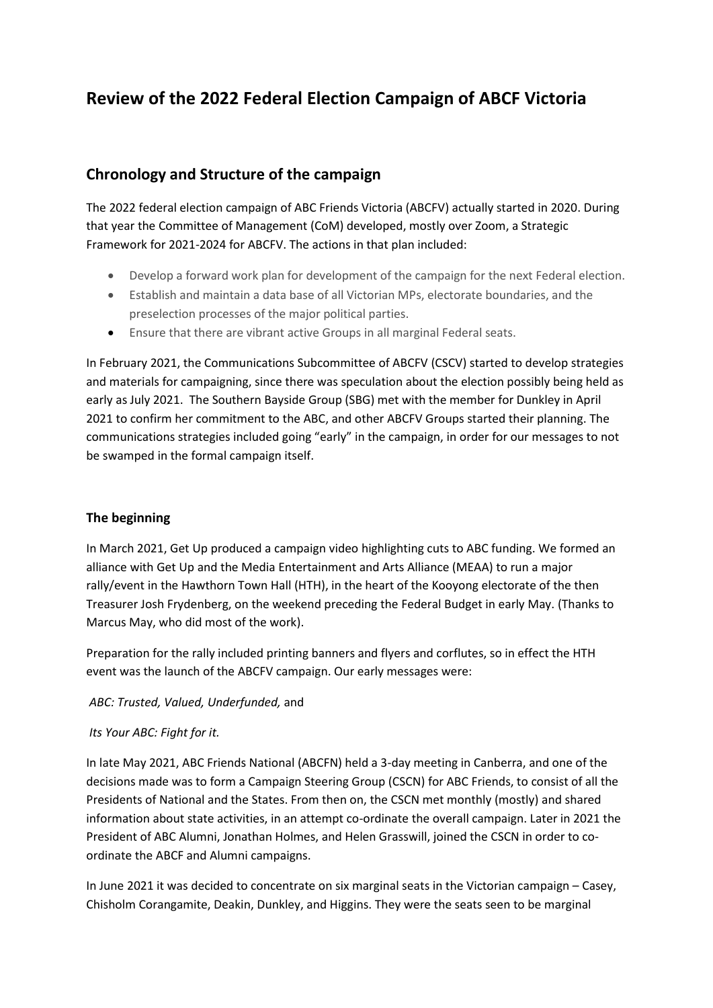# **Review of the 2022 Federal Election Campaign of ABCF Victoria**

## **Chronology and Structure of the campaign**

The 2022 federal election campaign of ABC Friends Victoria (ABCFV) actually started in 2020. During that year the Committee of Management (CoM) developed, mostly over Zoom, a Strategic Framework for 2021-2024 for ABCFV. The actions in that plan included:

- Develop a forward work plan for development of the campaign for the next Federal election.
- Establish and maintain a data base of all Victorian MPs, electorate boundaries, and the preselection processes of the major political parties.
- Ensure that there are vibrant active Groups in all marginal Federal seats.

In February 2021, the Communications Subcommittee of ABCFV (CSCV) started to develop strategies and materials for campaigning, since there was speculation about the election possibly being held as early as July 2021. The Southern Bayside Group (SBG) met with the member for Dunkley in April 2021 to confirm her commitment to the ABC, and other ABCFV Groups started their planning. The communications strategies included going "early" in the campaign, in order for our messages to not be swamped in the formal campaign itself.

#### **The beginning**

In March 2021, Get Up produced a campaign video highlighting cuts to ABC funding. We formed an alliance with Get Up and the Media Entertainment and Arts Alliance (MEAA) to run a major rally/event in the Hawthorn Town Hall (HTH), in the heart of the Kooyong electorate of the then Treasurer Josh Frydenberg, on the weekend preceding the Federal Budget in early May. (Thanks to Marcus May, who did most of the work).

Preparation for the rally included printing banners and flyers and corflutes, so in effect the HTH event was the launch of the ABCFV campaign. Our early messages were:

#### *ABC: Trusted, Valued, Underfunded,* and

#### *Its Your ABC: Fight for it.*

In late May 2021, ABC Friends National (ABCFN) held a 3-day meeting in Canberra, and one of the decisions made was to form a Campaign Steering Group (CSCN) for ABC Friends, to consist of all the Presidents of National and the States. From then on, the CSCN met monthly (mostly) and shared information about state activities, in an attempt co-ordinate the overall campaign. Later in 2021 the President of ABC Alumni, Jonathan Holmes, and Helen Grasswill, joined the CSCN in order to coordinate the ABCF and Alumni campaigns.

In June 2021 it was decided to concentrate on six marginal seats in the Victorian campaign – Casey, Chisholm Corangamite, Deakin, Dunkley, and Higgins. They were the seats seen to be marginal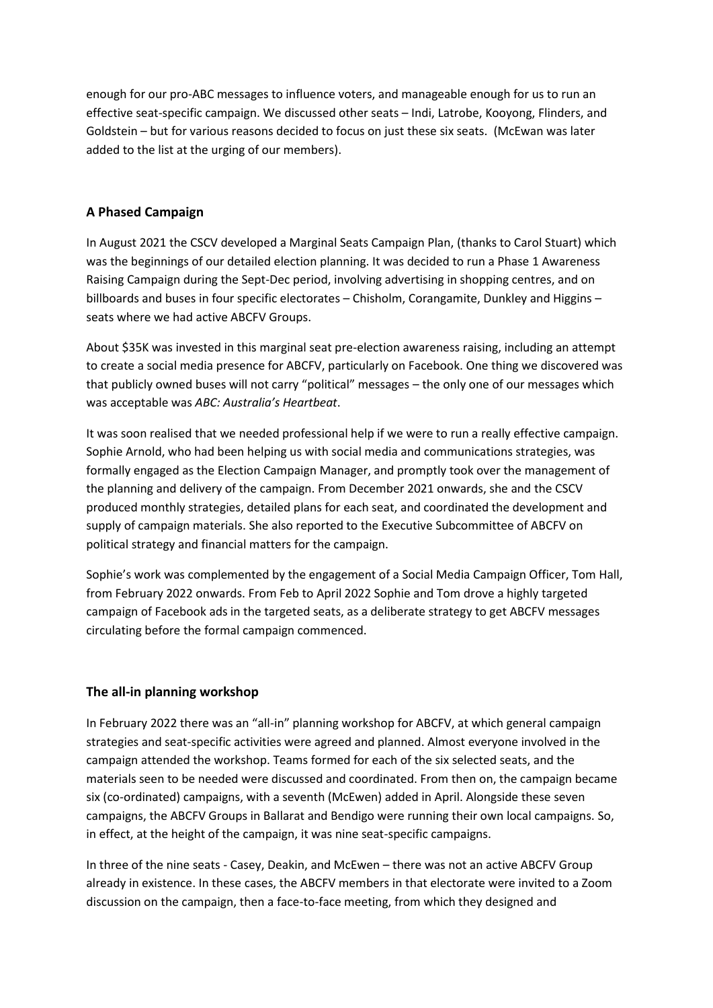enough for our pro-ABC messages to influence voters, and manageable enough for us to run an effective seat-specific campaign. We discussed other seats – Indi, Latrobe, Kooyong, Flinders, and Goldstein – but for various reasons decided to focus on just these six seats. (McEwan was later added to the list at the urging of our members).

#### **A Phased Campaign**

In August 2021 the CSCV developed a Marginal Seats Campaign Plan, (thanks to Carol Stuart) which was the beginnings of our detailed election planning. It was decided to run a Phase 1 Awareness Raising Campaign during the Sept-Dec period, involving advertising in shopping centres, and on billboards and buses in four specific electorates – Chisholm, Corangamite, Dunkley and Higgins – seats where we had active ABCFV Groups.

About \$35K was invested in this marginal seat pre-election awareness raising, including an attempt to create a social media presence for ABCFV, particularly on Facebook. One thing we discovered was that publicly owned buses will not carry "political" messages – the only one of our messages which was acceptable was *ABC: Australia's Heartbeat*.

It was soon realised that we needed professional help if we were to run a really effective campaign. Sophie Arnold, who had been helping us with social media and communications strategies, was formally engaged as the Election Campaign Manager, and promptly took over the management of the planning and delivery of the campaign. From December 2021 onwards, she and the CSCV produced monthly strategies, detailed plans for each seat, and coordinated the development and supply of campaign materials. She also reported to the Executive Subcommittee of ABCFV on political strategy and financial matters for the campaign.

Sophie's work was complemented by the engagement of a Social Media Campaign Officer, Tom Hall, from February 2022 onwards. From Feb to April 2022 Sophie and Tom drove a highly targeted campaign of Facebook ads in the targeted seats, as a deliberate strategy to get ABCFV messages circulating before the formal campaign commenced.

#### **The all-in planning workshop**

In February 2022 there was an "all-in" planning workshop for ABCFV, at which general campaign strategies and seat-specific activities were agreed and planned. Almost everyone involved in the campaign attended the workshop. Teams formed for each of the six selected seats, and the materials seen to be needed were discussed and coordinated. From then on, the campaign became six (co-ordinated) campaigns, with a seventh (McEwen) added in April. Alongside these seven campaigns, the ABCFV Groups in Ballarat and Bendigo were running their own local campaigns. So, in effect, at the height of the campaign, it was nine seat-specific campaigns.

In three of the nine seats - Casey, Deakin, and McEwen – there was not an active ABCFV Group already in existence. In these cases, the ABCFV members in that electorate were invited to a Zoom discussion on the campaign, then a face-to-face meeting, from which they designed and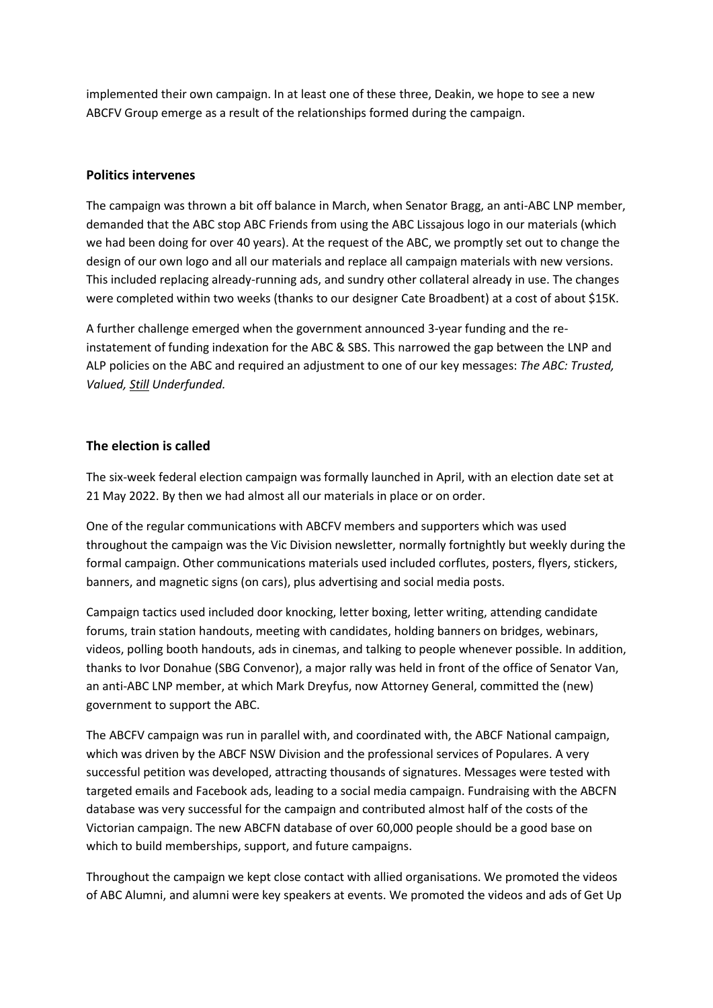implemented their own campaign. In at least one of these three, Deakin, we hope to see a new ABCFV Group emerge as a result of the relationships formed during the campaign.

#### **Politics intervenes**

The campaign was thrown a bit off balance in March, when Senator Bragg, an anti-ABC LNP member, demanded that the ABC stop ABC Friends from using the ABC Lissajous logo in our materials (which we had been doing for over 40 years). At the request of the ABC, we promptly set out to change the design of our own logo and all our materials and replace all campaign materials with new versions. This included replacing already-running ads, and sundry other collateral already in use. The changes were completed within two weeks (thanks to our designer Cate Broadbent) at a cost of about \$15K.

A further challenge emerged when the government announced 3-year funding and the reinstatement of funding indexation for the ABC & SBS. This narrowed the gap between the LNP and ALP policies on the ABC and required an adjustment to one of our key messages: *The ABC: Trusted, Valued, Still Underfunded.*

#### **The election is called**

The six-week federal election campaign was formally launched in April, with an election date set at 21 May 2022. By then we had almost all our materials in place or on order.

One of the regular communications with ABCFV members and supporters which was used throughout the campaign was the Vic Division newsletter, normally fortnightly but weekly during the formal campaign. Other communications materials used included corflutes, posters, flyers, stickers, banners, and magnetic signs (on cars), plus advertising and social media posts.

Campaign tactics used included door knocking, letter boxing, letter writing, attending candidate forums, train station handouts, meeting with candidates, holding banners on bridges, webinars, videos, polling booth handouts, ads in cinemas, and talking to people whenever possible. In addition, thanks to Ivor Donahue (SBG Convenor), a major rally was held in front of the office of Senator Van, an anti-ABC LNP member, at which Mark Dreyfus, now Attorney General, committed the (new) government to support the ABC.

The ABCFV campaign was run in parallel with, and coordinated with, the ABCF National campaign, which was driven by the ABCF NSW Division and the professional services of Populares. A very successful petition was developed, attracting thousands of signatures. Messages were tested with targeted emails and Facebook ads, leading to a social media campaign. Fundraising with the ABCFN database was very successful for the campaign and contributed almost half of the costs of the Victorian campaign. The new ABCFN database of over 60,000 people should be a good base on which to build memberships, support, and future campaigns.

Throughout the campaign we kept close contact with allied organisations. We promoted the videos of ABC Alumni, and alumni were key speakers at events. We promoted the videos and ads of Get Up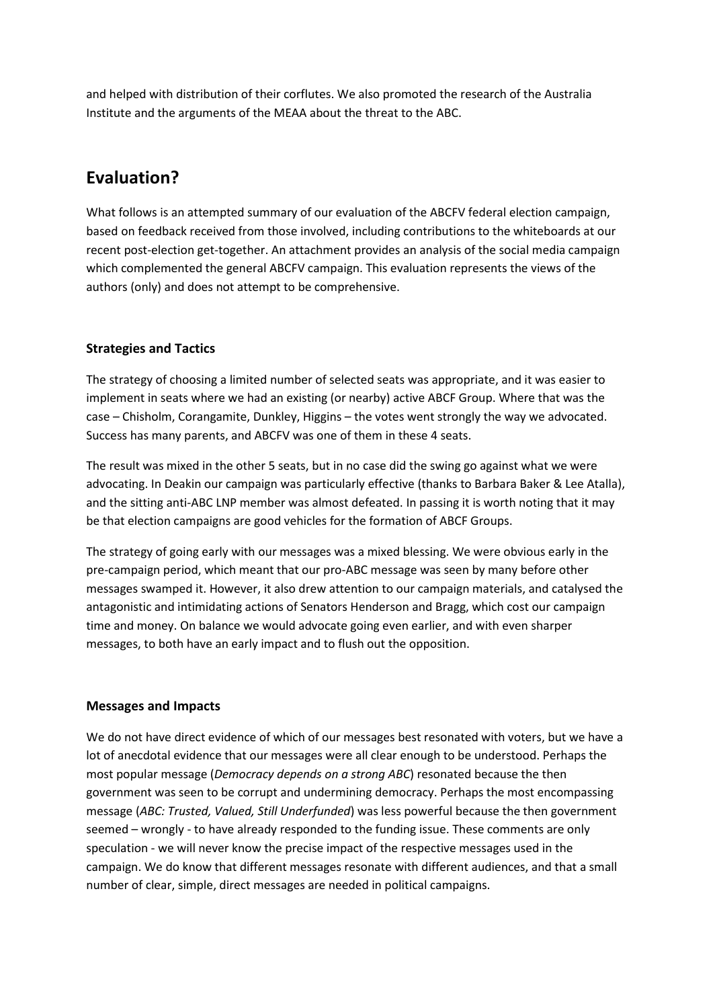and helped with distribution of their corflutes. We also promoted the research of the Australia Institute and the arguments of the MEAA about the threat to the ABC.

# **Evaluation?**

What follows is an attempted summary of our evaluation of the ABCFV federal election campaign, based on feedback received from those involved, including contributions to the whiteboards at our recent post-election get-together. An attachment provides an analysis of the social media campaign which complemented the general ABCFV campaign. This evaluation represents the views of the authors (only) and does not attempt to be comprehensive.

### **Strategies and Tactics**

The strategy of choosing a limited number of selected seats was appropriate, and it was easier to implement in seats where we had an existing (or nearby) active ABCF Group. Where that was the case – Chisholm, Corangamite, Dunkley, Higgins – the votes went strongly the way we advocated. Success has many parents, and ABCFV was one of them in these 4 seats.

The result was mixed in the other 5 seats, but in no case did the swing go against what we were advocating. In Deakin our campaign was particularly effective (thanks to Barbara Baker & Lee Atalla), and the sitting anti-ABC LNP member was almost defeated. In passing it is worth noting that it may be that election campaigns are good vehicles for the formation of ABCF Groups.

The strategy of going early with our messages was a mixed blessing. We were obvious early in the pre-campaign period, which meant that our pro-ABC message was seen by many before other messages swamped it. However, it also drew attention to our campaign materials, and catalysed the antagonistic and intimidating actions of Senators Henderson and Bragg, which cost our campaign time and money. On balance we would advocate going even earlier, and with even sharper messages, to both have an early impact and to flush out the opposition.

#### **Messages and Impacts**

We do not have direct evidence of which of our messages best resonated with voters, but we have a lot of anecdotal evidence that our messages were all clear enough to be understood. Perhaps the most popular message (*Democracy depends on a strong ABC*) resonated because the then government was seen to be corrupt and undermining democracy. Perhaps the most encompassing message (*ABC: Trusted, Valued, Still Underfunded*) was less powerful because the then government seemed – wrongly - to have already responded to the funding issue. These comments are only speculation - we will never know the precise impact of the respective messages used in the campaign. We do know that different messages resonate with different audiences, and that a small number of clear, simple, direct messages are needed in political campaigns.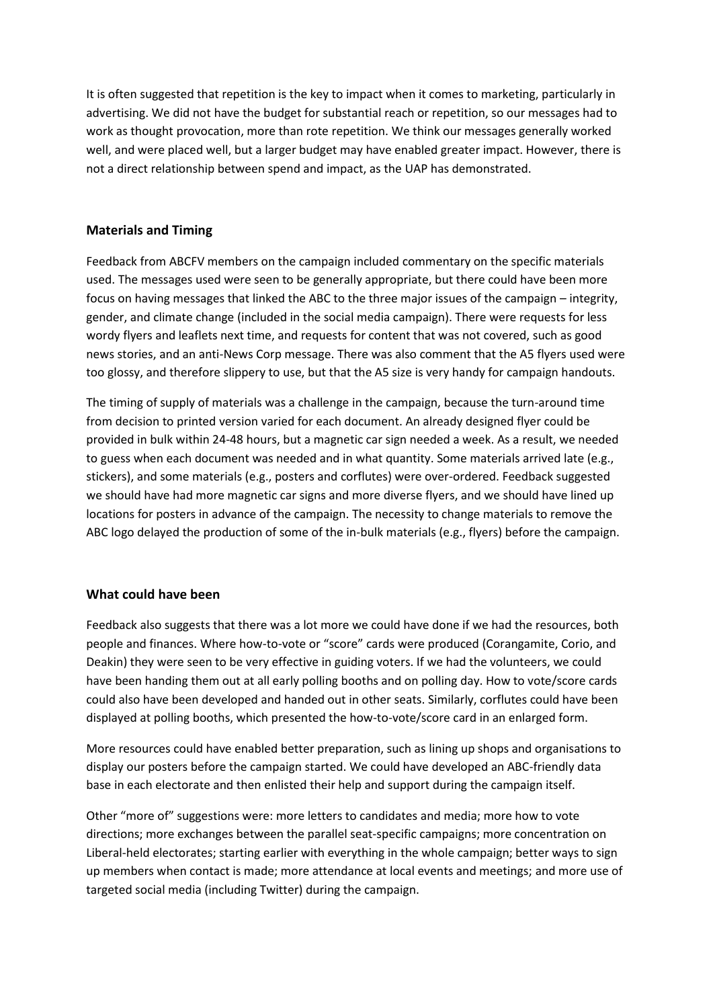It is often suggested that repetition is the key to impact when it comes to marketing, particularly in advertising. We did not have the budget for substantial reach or repetition, so our messages had to work as thought provocation, more than rote repetition. We think our messages generally worked well, and were placed well, but a larger budget may have enabled greater impact. However, there is not a direct relationship between spend and impact, as the UAP has demonstrated.

#### **Materials and Timing**

Feedback from ABCFV members on the campaign included commentary on the specific materials used. The messages used were seen to be generally appropriate, but there could have been more focus on having messages that linked the ABC to the three major issues of the campaign – integrity, gender, and climate change (included in the social media campaign). There were requests for less wordy flyers and leaflets next time, and requests for content that was not covered, such as good news stories, and an anti-News Corp message. There was also comment that the A5 flyers used were too glossy, and therefore slippery to use, but that the A5 size is very handy for campaign handouts.

The timing of supply of materials was a challenge in the campaign, because the turn-around time from decision to printed version varied for each document. An already designed flyer could be provided in bulk within 24-48 hours, but a magnetic car sign needed a week. As a result, we needed to guess when each document was needed and in what quantity. Some materials arrived late (e.g., stickers), and some materials (e.g., posters and corflutes) were over-ordered. Feedback suggested we should have had more magnetic car signs and more diverse flyers, and we should have lined up locations for posters in advance of the campaign. The necessity to change materials to remove the ABC logo delayed the production of some of the in-bulk materials (e.g., flyers) before the campaign.

#### **What could have been**

Feedback also suggests that there was a lot more we could have done if we had the resources, both people and finances. Where how-to-vote or "score" cards were produced (Corangamite, Corio, and Deakin) they were seen to be very effective in guiding voters. If we had the volunteers, we could have been handing them out at all early polling booths and on polling day. How to vote/score cards could also have been developed and handed out in other seats. Similarly, corflutes could have been displayed at polling booths, which presented the how-to-vote/score card in an enlarged form.

More resources could have enabled better preparation, such as lining up shops and organisations to display our posters before the campaign started. We could have developed an ABC-friendly data base in each electorate and then enlisted their help and support during the campaign itself.

Other "more of" suggestions were: more letters to candidates and media; more how to vote directions; more exchanges between the parallel seat-specific campaigns; more concentration on Liberal-held electorates; starting earlier with everything in the whole campaign; better ways to sign up members when contact is made; more attendance at local events and meetings; and more use of targeted social media (including Twitter) during the campaign.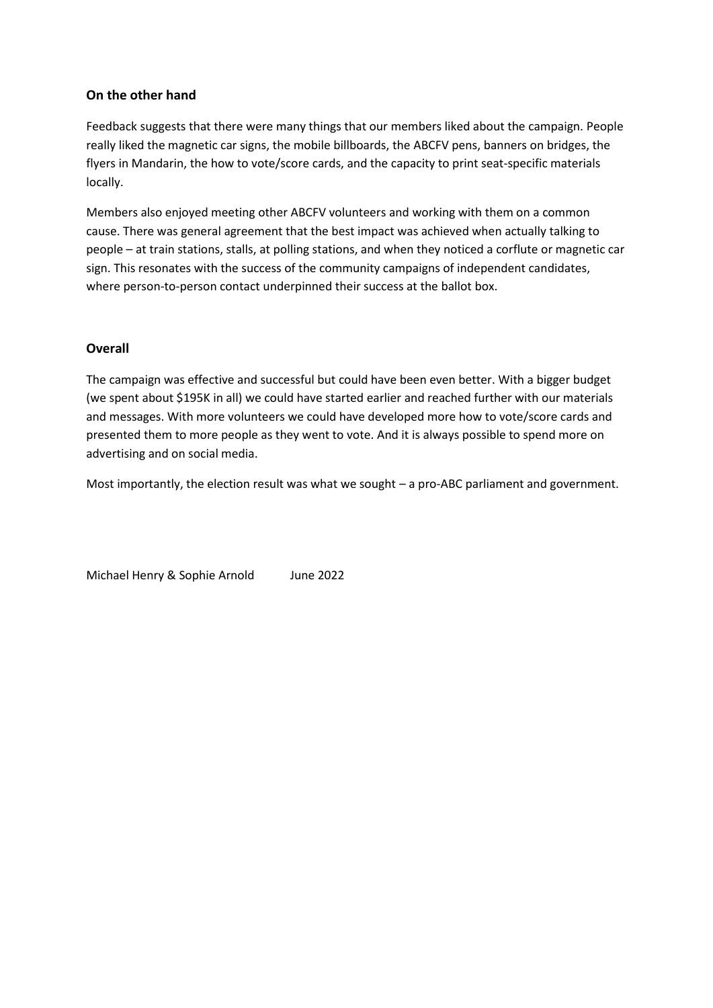#### **On the other hand**

Feedback suggests that there were many things that our members liked about the campaign. People really liked the magnetic car signs, the mobile billboards, the ABCFV pens, banners on bridges, the flyers in Mandarin, the how to vote/score cards, and the capacity to print seat-specific materials locally.

Members also enjoyed meeting other ABCFV volunteers and working with them on a common cause. There was general agreement that the best impact was achieved when actually talking to people – at train stations, stalls, at polling stations, and when they noticed a corflute or magnetic car sign. This resonates with the success of the community campaigns of independent candidates, where person-to-person contact underpinned their success at the ballot box.

#### **Overall**

The campaign was effective and successful but could have been even better. With a bigger budget (we spent about \$195K in all) we could have started earlier and reached further with our materials and messages. With more volunteers we could have developed more how to vote/score cards and presented them to more people as they went to vote. And it is always possible to spend more on advertising and on social media.

Most importantly, the election result was what we sought – a pro-ABC parliament and government.

Michael Henry & Sophie Arnold June 2022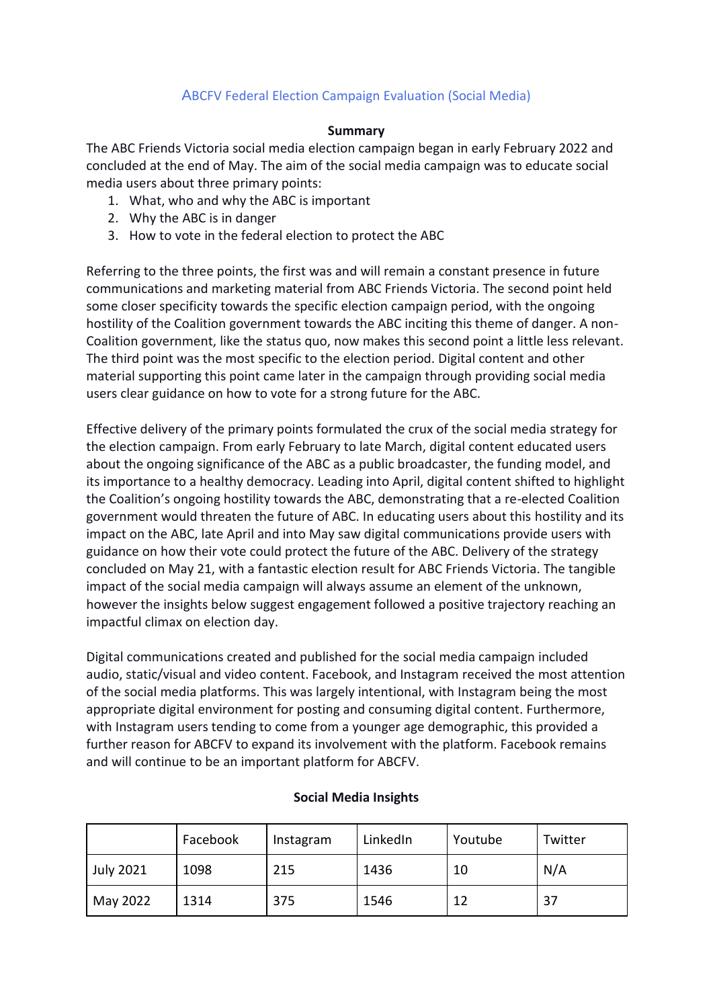### ABCFV Federal Election Campaign Evaluation (Social Media)

#### **Summary**

The ABC Friends Victoria social media election campaign began in early February 2022 and concluded at the end of May. The aim of the social media campaign was to educate social media users about three primary points:

- 1. What, who and why the ABC is important
- 2. Why the ABC is in danger
- 3. How to vote in the federal election to protect the ABC

Referring to the three points, the first was and will remain a constant presence in future communications and marketing material from ABC Friends Victoria. The second point held some closer specificity towards the specific election campaign period, with the ongoing hostility of the Coalition government towards the ABC inciting this theme of danger. A non-Coalition government, like the status quo, now makes this second point a little less relevant. The third point was the most specific to the election period. Digital content and other material supporting this point came later in the campaign through providing social media users clear guidance on how to vote for a strong future for the ABC.

Effective delivery of the primary points formulated the crux of the social media strategy for the election campaign. From early February to late March, digital content educated users about the ongoing significance of the ABC as a public broadcaster, the funding model, and its importance to a healthy democracy. Leading into April, digital content shifted to highlight the Coalition's ongoing hostility towards the ABC, demonstrating that a re-elected Coalition government would threaten the future of ABC. In educating users about this hostility and its impact on the ABC, late April and into May saw digital communications provide users with guidance on how their vote could protect the future of the ABC. Delivery of the strategy concluded on May 21, with a fantastic election result for ABC Friends Victoria. The tangible impact of the social media campaign will always assume an element of the unknown, however the insights below suggest engagement followed a positive trajectory reaching an impactful climax on election day.

Digital communications created and published for the social media campaign included audio, static/visual and video content. Facebook, and Instagram received the most attention of the social media platforms. This was largely intentional, with Instagram being the most appropriate digital environment for posting and consuming digital content. Furthermore, with Instagram users tending to come from a younger age demographic, this provided a further reason for ABCFV to expand its involvement with the platform. Facebook remains and will continue to be an important platform for ABCFV.

|                  | Facebook | Instagram | LinkedIn | Youtube | Twitter |
|------------------|----------|-----------|----------|---------|---------|
| <b>July 2021</b> | 1098     | 215       | 1436     | 10      | N/A     |
| May 2022         | 1314     | 375       | 1546     | 12      | 37      |

#### **Social Media Insights**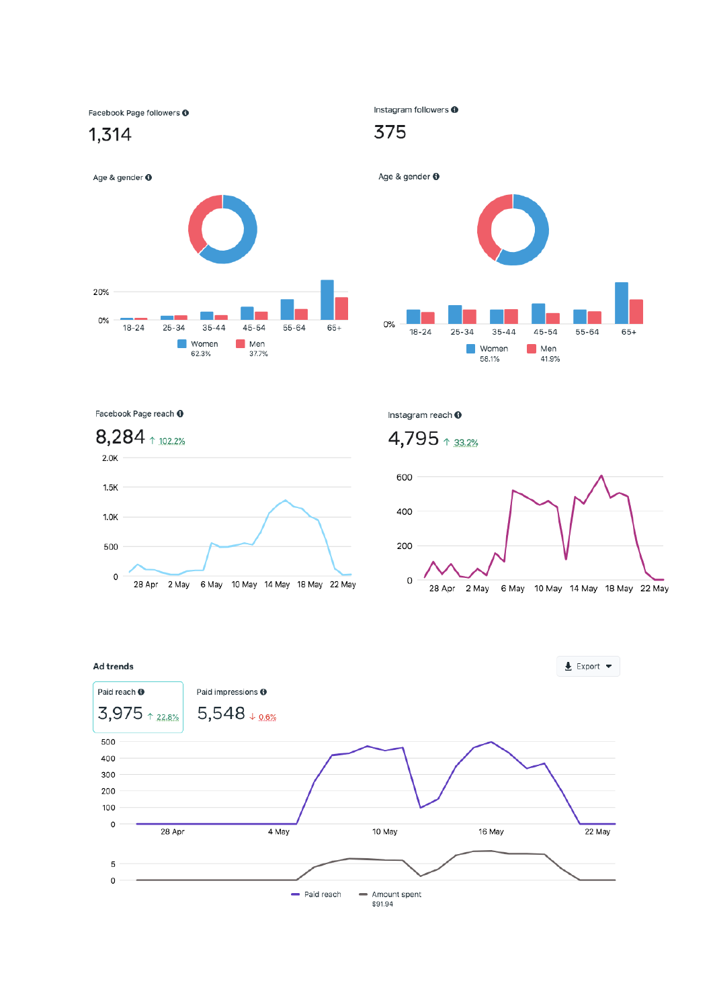Facebook Page followers @

1,314



Instagram followers @

# 375

Age & gender <sup>O</sup>  $0%$  $18 - 24$  $25 - 34$  $35 - 44$  $45 - 54$ 55-64 65+ **Women**  $\blacksquare$  Men 58.1% 41.9%

Facebook Page reach @



Instagram reach <sup>O</sup>

# $4,795$   $*33.2%$



 $\triangle$  Export  $\blacktriangledown$ 

#### Ad trends

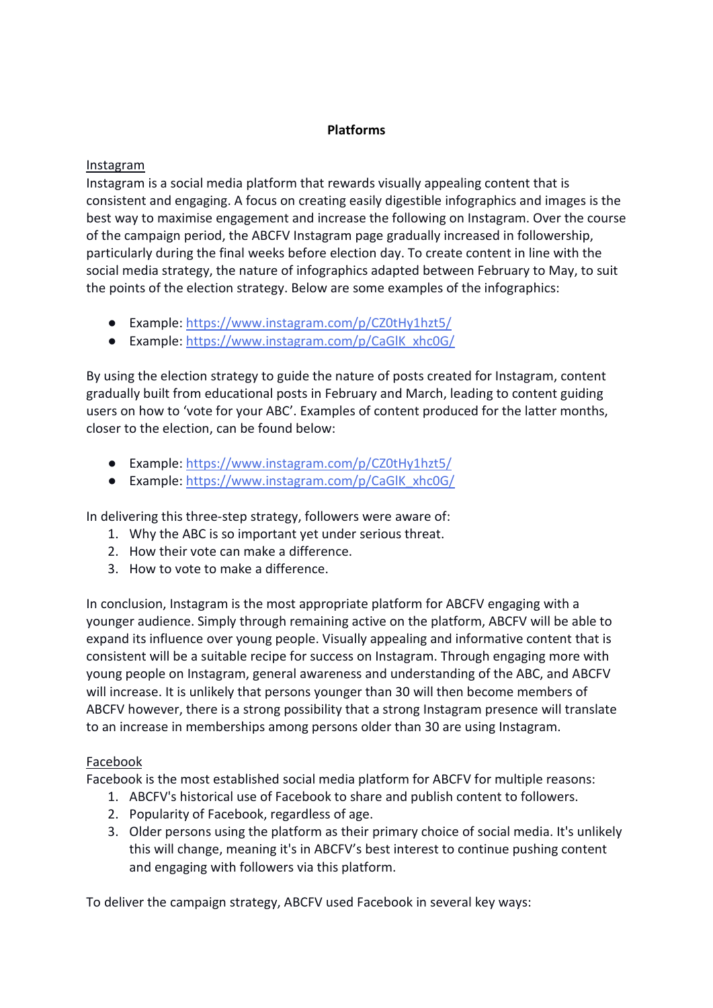#### **Platforms**

#### Instagram

Instagram is a social media platform that rewards visually appealing content that is consistent and engaging. A focus on creating easily digestible infographics and images is the best way to maximise engagement and increase the following on Instagram. Over the course of the campaign period, the ABCFV Instagram page gradually increased in followership, particularly during the final weeks before election day. To create content in line with the social media strategy, the nature of infographics adapted between February to May, to suit the points of the election strategy. Below are some examples of the infographics:

- Example:<https://www.instagram.com/p/CZ0tHy1hzt5/>
- Example: [https://www.instagram.com/p/CaGlK\\_xhc0G/](https://www.instagram.com/p/CaGlK_xhc0G/)

By using the election strategy to guide the nature of posts created for Instagram, content gradually built from educational posts in February and March, leading to content guiding users on how to 'vote for your ABC'. Examples of content produced for the latter months, closer to the election, can be found below:

- Example:<https://www.instagram.com/p/CZ0tHy1hzt5/>
- Example: [https://www.instagram.com/p/CaGlK\\_xhc0G/](https://www.instagram.com/p/CaGlK_xhc0G/)

In delivering this three-step strategy, followers were aware of:

- 1. Why the ABC is so important yet under serious threat.
- 2. How their vote can make a difference.
- 3. How to vote to make a difference.

In conclusion, Instagram is the most appropriate platform for ABCFV engaging with a younger audience. Simply through remaining active on the platform, ABCFV will be able to expand its influence over young people. Visually appealing and informative content that is consistent will be a suitable recipe for success on Instagram. Through engaging more with young people on Instagram, general awareness and understanding of the ABC, and ABCFV will increase. It is unlikely that persons younger than 30 will then become members of ABCFV however, there is a strong possibility that a strong Instagram presence will translate to an increase in memberships among persons older than 30 are using Instagram.

#### Facebook

Facebook is the most established social media platform for ABCFV for multiple reasons:

- 1. ABCFV's historical use of Facebook to share and publish content to followers.
- 2. Popularity of Facebook, regardless of age.
- 3. Older persons using the platform as their primary choice of social media. It's unlikely this will change, meaning it's in ABCFV's best interest to continue pushing content and engaging with followers via this platform.

To deliver the campaign strategy, ABCFV used Facebook in several key ways: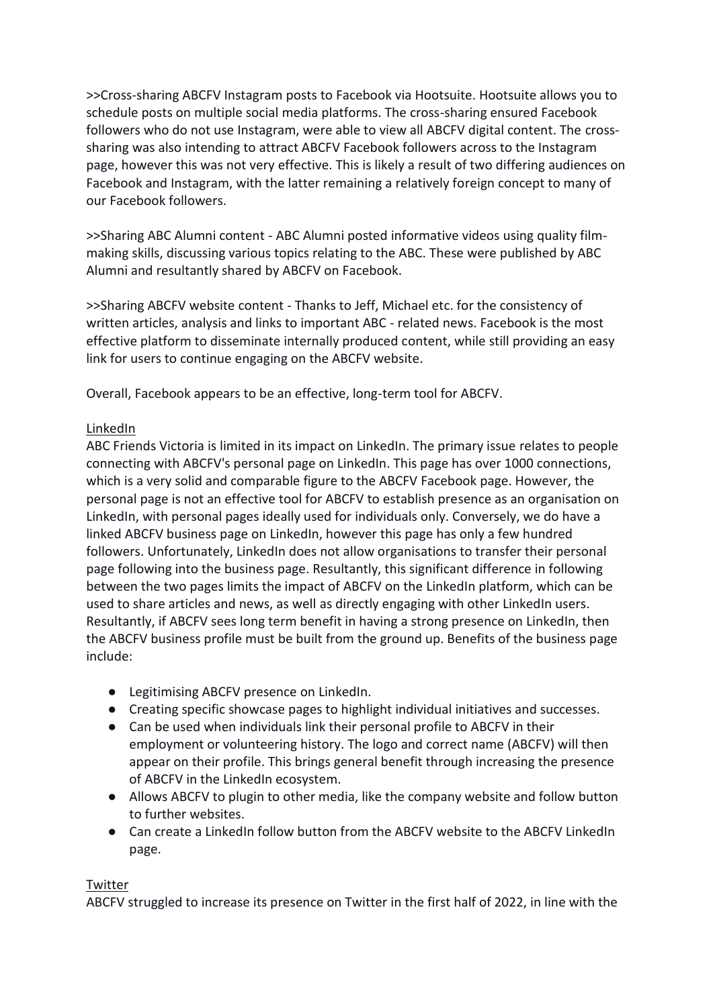>>Cross-sharing ABCFV Instagram posts to Facebook via Hootsuite. Hootsuite allows you to schedule posts on multiple social media platforms. The cross-sharing ensured Facebook followers who do not use Instagram, were able to view all ABCFV digital content. The crosssharing was also intending to attract ABCFV Facebook followers across to the Instagram page, however this was not very effective. This is likely a result of two differing audiences on Facebook and Instagram, with the latter remaining a relatively foreign concept to many of our Facebook followers.

>>Sharing ABC Alumni content - ABC Alumni posted informative videos using quality filmmaking skills, discussing various topics relating to the ABC. These were published by ABC Alumni and resultantly shared by ABCFV on Facebook.

>>Sharing ABCFV website content - Thanks to Jeff, Michael etc. for the consistency of written articles, analysis and links to important ABC - related news. Facebook is the most effective platform to disseminate internally produced content, while still providing an easy link for users to continue engaging on the ABCFV website.

Overall, Facebook appears to be an effective, long-term tool for ABCFV.

### LinkedIn

ABC Friends Victoria is limited in its impact on LinkedIn. The primary issue relates to people connecting with ABCFV's personal page on LinkedIn. This page has over 1000 connections, which is a very solid and comparable figure to the ABCFV Facebook page. However, the personal page is not an effective tool for ABCFV to establish presence as an organisation on LinkedIn, with personal pages ideally used for individuals only. Conversely, we do have a linked ABCFV business page on LinkedIn, however this page has only a few hundred followers. Unfortunately, LinkedIn does not allow organisations to transfer their personal page following into the business page. Resultantly, this significant difference in following between the two pages limits the impact of ABCFV on the LinkedIn platform, which can be used to share articles and news, as well as directly engaging with other LinkedIn users. Resultantly, if ABCFV sees long term benefit in having a strong presence on LinkedIn, then the ABCFV business profile must be built from the ground up. Benefits of the business page include:

- Legitimising ABCFV presence on LinkedIn.
- Creating specific showcase pages to highlight individual initiatives and successes.
- Can be used when individuals link their personal profile to ABCFV in their employment or volunteering history. The logo and correct name (ABCFV) will then appear on their profile. This brings general benefit through increasing the presence of ABCFV in the LinkedIn ecosystem.
- Allows ABCFV to plugin to other media, like the company website and follow button to further websites.
- Can create a LinkedIn follow button from the ABCFV website to the ABCFV LinkedIn page.

### Twitter

ABCFV struggled to increase its presence on Twitter in the first half of 2022, in line with the